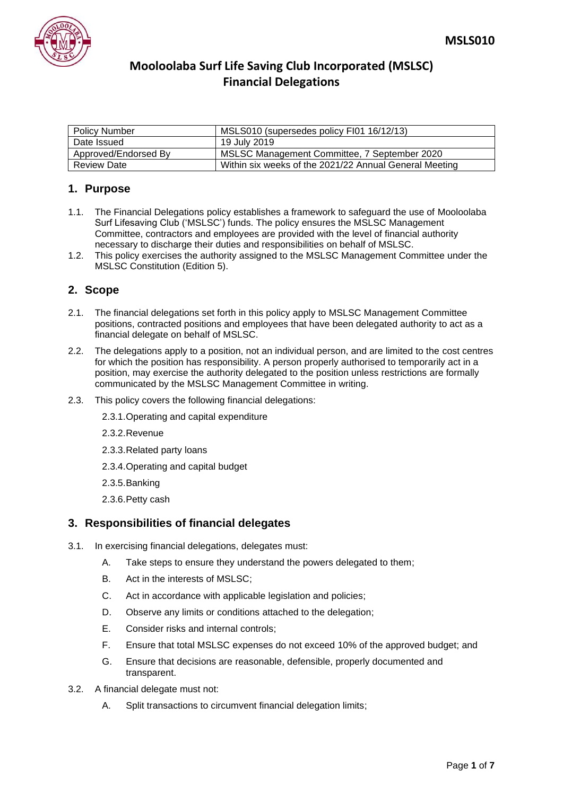

| <b>Policy Number</b> | MSLS010 (supersedes policy FI01 16/12/13)              |
|----------------------|--------------------------------------------------------|
| Date Issued          | 19 July 2019                                           |
| Approved/Endorsed By | MSLSC Management Committee, 7 September 2020           |
| <b>Review Date</b>   | Within six weeks of the 2021/22 Annual General Meeting |

#### **1. Purpose**

- 1.1. The Financial Delegations policy establishes a framework to safeguard the use of Mooloolaba Surf Lifesaving Club ('MSLSC') funds. The policy ensures the MSLSC Management Committee, contractors and employees are provided with the level of financial authority necessary to discharge their duties and responsibilities on behalf of MSLSC.
- 1.2. This policy exercises the authority assigned to the MSLSC Management Committee under the MSLSC Constitution (Edition 5).

#### **2. Scope**

- 2.1. The financial delegations set forth in this policy apply to MSLSC Management Committee positions, contracted positions and employees that have been delegated authority to act as a financial delegate on behalf of MSLSC.
- 2.2. The delegations apply to a position, not an individual person, and are limited to the cost centres for which the position has responsibility. A person properly authorised to temporarily act in a position, may exercise the authority delegated to the position unless restrictions are formally communicated by the MSLSC Management Committee in writing.
- 2.3. This policy covers the following financial delegations:
	- 2.3.1.Operating and capital expenditure
	- 2.3.2.Revenue
	- 2.3.3.Related party loans
	- 2.3.4.Operating and capital budget
	- 2.3.5.Banking
	- 2.3.6.Petty cash

#### **3. Responsibilities of financial delegates**

- 3.1. In exercising financial delegations, delegates must:
	- A. Take steps to ensure they understand the powers delegated to them;
	- B. Act in the interests of MSLSC;
	- C. Act in accordance with applicable legislation and policies;
	- D. Observe any limits or conditions attached to the delegation;
	- E. Consider risks and internal controls;
	- F. Ensure that total MSLSC expenses do not exceed 10% of the approved budget; and
	- G. Ensure that decisions are reasonable, defensible, properly documented and transparent.
- 3.2. A financial delegate must not:
	- A. Split transactions to circumvent financial delegation limits;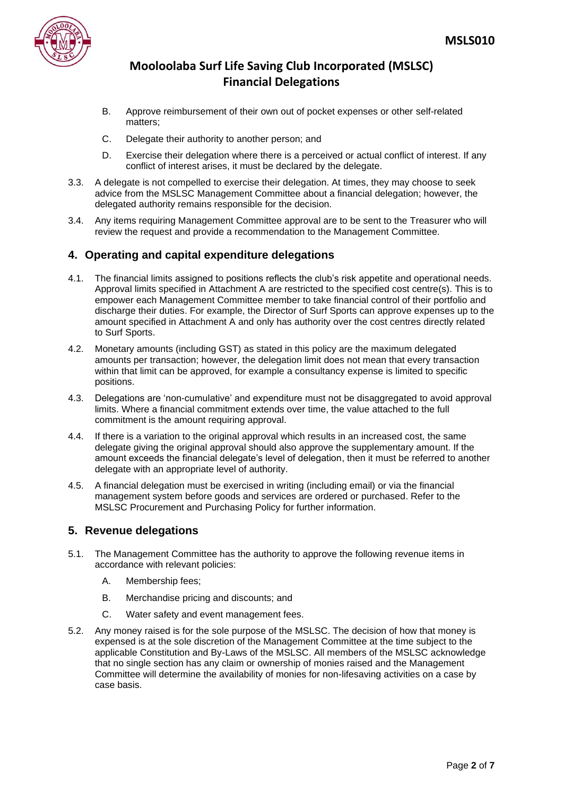

- B. Approve reimbursement of their own out of pocket expenses or other self-related matters;
- C. Delegate their authority to another person; and
- D. Exercise their delegation where there is a perceived or actual conflict of interest. If any conflict of interest arises, it must be declared by the delegate.
- 3.3. A delegate is not compelled to exercise their delegation. At times, they may choose to seek advice from the MSLSC Management Committee about a financial delegation; however, the delegated authority remains responsible for the decision.
- 3.4. Any items requiring Management Committee approval are to be sent to the Treasurer who will review the request and provide a recommendation to the Management Committee.

#### **4. Operating and capital expenditure delegations**

- 4.1. The financial limits assigned to positions reflects the club's risk appetite and operational needs. Approval limits specified in Attachment A are restricted to the specified cost centre(s). This is to empower each Management Committee member to take financial control of their portfolio and discharge their duties. For example, the Director of Surf Sports can approve expenses up to the amount specified in Attachment A and only has authority over the cost centres directly related to Surf Sports.
- 4.2. Monetary amounts (including GST) as stated in this policy are the maximum delegated amounts per transaction; however, the delegation limit does not mean that every transaction within that limit can be approved, for example a consultancy expense is limited to specific positions.
- 4.3. Delegations are 'non-cumulative' and expenditure must not be disaggregated to avoid approval limits. Where a financial commitment extends over time, the value attached to the full commitment is the amount requiring approval.
- 4.4. If there is a variation to the original approval which results in an increased cost, the same delegate giving the original approval should also approve the supplementary amount. If the amount exceeds the financial delegate's level of delegation, then it must be referred to another delegate with an appropriate level of authority.
- 4.5. A financial delegation must be exercised in writing (including email) or via the financial management system before goods and services are ordered or purchased. Refer to the MSLSC Procurement and Purchasing Policy for further information.

#### **5. Revenue delegations**

- 5.1. The Management Committee has the authority to approve the following revenue items in accordance with relevant policies:
	- A. Membership fees;
	- B. Merchandise pricing and discounts; and
	- C. Water safety and event management fees.
- 5.2. Any money raised is for the sole purpose of the MSLSC. The decision of how that money is expensed is at the sole discretion of the Management Committee at the time subject to the applicable Constitution and By-Laws of the MSLSC. All members of the MSLSC acknowledge that no single section has any claim or ownership of monies raised and the Management Committee will determine the availability of monies for non-lifesaving activities on a case by case basis.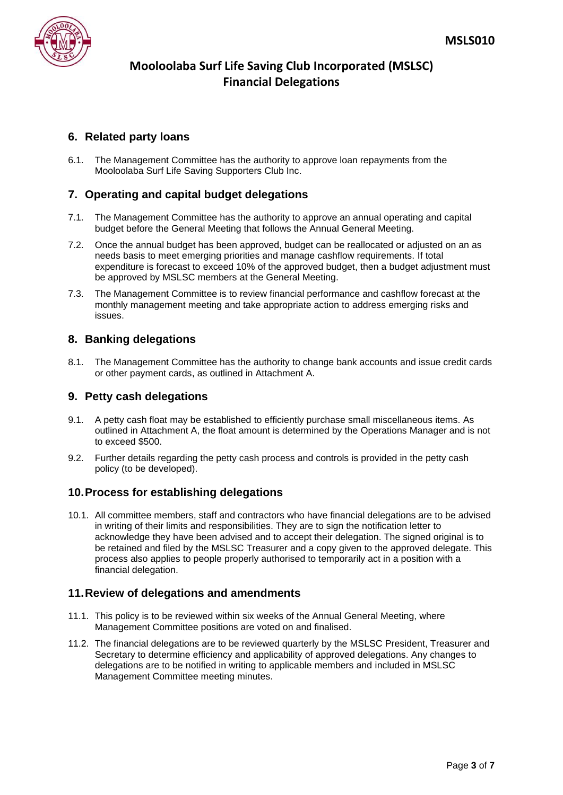

### **6. Related party loans**

6.1. The Management Committee has the authority to approve loan repayments from the Mooloolaba Surf Life Saving Supporters Club Inc.

#### **7. Operating and capital budget delegations**

- 7.1. The Management Committee has the authority to approve an annual operating and capital budget before the General Meeting that follows the Annual General Meeting.
- 7.2. Once the annual budget has been approved, budget can be reallocated or adjusted on an as needs basis to meet emerging priorities and manage cashflow requirements. If total expenditure is forecast to exceed 10% of the approved budget, then a budget adjustment must be approved by MSLSC members at the General Meeting.
- 7.3. The Management Committee is to review financial performance and cashflow forecast at the monthly management meeting and take appropriate action to address emerging risks and issues.

#### **8. Banking delegations**

8.1. The Management Committee has the authority to change bank accounts and issue credit cards or other payment cards, as outlined in Attachment A.

#### **9. Petty cash delegations**

- 9.1. A petty cash float may be established to efficiently purchase small miscellaneous items. As outlined in Attachment A, the float amount is determined by the Operations Manager and is not to exceed \$500.
- 9.2. Further details regarding the petty cash process and controls is provided in the petty cash policy (to be developed).

#### **10.Process for establishing delegations**

10.1. All committee members, staff and contractors who have financial delegations are to be advised in writing of their limits and responsibilities. They are to sign the notification letter to acknowledge they have been advised and to accept their delegation. The signed original is to be retained and filed by the MSLSC Treasurer and a copy given to the approved delegate. This process also applies to people properly authorised to temporarily act in a position with a financial delegation.

#### **11.Review of delegations and amendments**

- 11.1. This policy is to be reviewed within six weeks of the Annual General Meeting, where Management Committee positions are voted on and finalised.
- 11.2. The financial delegations are to be reviewed quarterly by the MSLSC President, Treasurer and Secretary to determine efficiency and applicability of approved delegations. Any changes to delegations are to be notified in writing to applicable members and included in MSLSC Management Committee meeting minutes.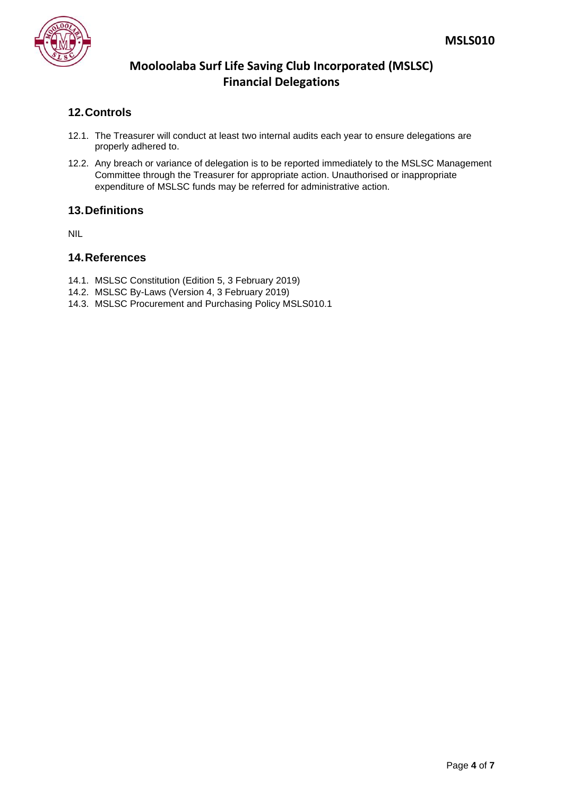

## **12.Controls**

- 12.1. The Treasurer will conduct at least two internal audits each year to ensure delegations are properly adhered to.
- 12.2. Any breach or variance of delegation is to be reported immediately to the MSLSC Management Committee through the Treasurer for appropriate action. Unauthorised or inappropriate expenditure of MSLSC funds may be referred for administrative action.

#### **13.Definitions**

NIL

#### **14.References**

- 14.1. MSLSC Constitution (Edition 5, 3 February 2019)
- 14.2. MSLSC By-Laws (Version 4, 3 February 2019)
- 14.3. MSLSC Procurement and Purchasing Policy MSLS010.1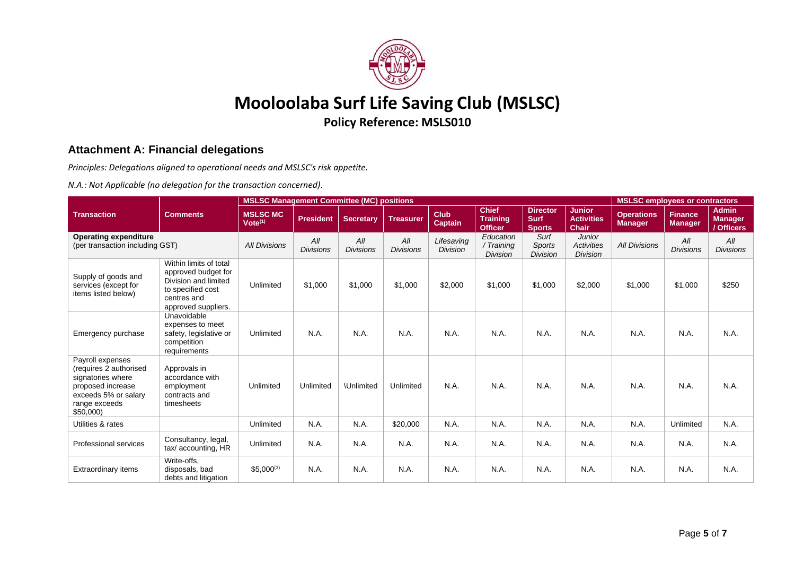

# **Mooloolaba Surf Life Saving Club (MSLSC)**

**Policy Reference: MSLS010**

#### **Attachment A: Financial delegations**

*Principles: Delegations aligned to operational needs and MSLSC's risk appetite.*

*N.A.: Not Applicable (no delegation for the transaction concerned).*

|                                                                                                                                            |                                                                                                                                  | <b>MSLSC Management Committee (MC) positions</b> |                         |                         |                         |                               |                                                   |                                                 |                                                       |                                     | <b>MSLSC employees or contractors</b> |                                              |  |
|--------------------------------------------------------------------------------------------------------------------------------------------|----------------------------------------------------------------------------------------------------------------------------------|--------------------------------------------------|-------------------------|-------------------------|-------------------------|-------------------------------|---------------------------------------------------|-------------------------------------------------|-------------------------------------------------------|-------------------------------------|---------------------------------------|----------------------------------------------|--|
| <b>Transaction</b>                                                                                                                         | <b>Comments</b>                                                                                                                  | <b>MSLSC MC</b><br>Vote <sup>(1)</sup>           | <b>President</b>        | <b>Secretary</b>        | <b>Treasurer</b>        | <b>Club</b><br><b>Captain</b> | <b>Chief</b><br><b>Training</b><br><b>Officer</b> | <b>Director</b><br><b>Surf</b><br><b>Sports</b> | <b>Junior</b><br><b>Activities</b><br>Chair           | <b>Operations</b><br><b>Manager</b> | <b>Finance</b><br><b>Manager</b>      | <b>Admin</b><br><b>Manager</b><br>/ Officers |  |
| <b>Operating expenditure</b><br>(per transaction including GST)                                                                            |                                                                                                                                  | <b>All Divisions</b>                             | All<br><b>Divisions</b> | All<br><b>Divisions</b> | All<br><b>Divisions</b> | Lifesaving<br><b>Division</b> | Education<br>/ Training<br><b>Division</b>        | Surf<br><b>Sports</b><br><b>Division</b>        | <b>Junior</b><br><b>Activities</b><br><b>Division</b> | <b>All Divisions</b>                | All<br><b>Divisions</b>               | All<br><b>Divisions</b>                      |  |
| Supply of goods and<br>services (except for<br>items listed below)                                                                         | Within limits of total<br>approved budget for<br>Division and limited<br>to specified cost<br>centres and<br>approved suppliers. | Unlimited                                        | \$1,000                 | \$1,000                 | \$1,000                 | \$2,000                       | \$1,000                                           | \$1,000                                         | \$2,000                                               | \$1,000                             | \$1,000                               | \$250                                        |  |
| Emergency purchase                                                                                                                         | Unavoidable<br>expenses to meet<br>safety, legislative or<br>competition<br>requirements                                         | Unlimited                                        | N.A.                    | N.A.                    | N.A.                    | N.A                           | N.A.                                              | N.A                                             | N.A.                                                  | N.A.                                | N.A.                                  | N.A.                                         |  |
| Payroll expenses<br>(requires 2 authorised<br>signatories where<br>proposed increase<br>exceeds 5% or salary<br>range exceeds<br>\$50,000) | Approvals in<br>accordance with<br>employment<br>contracts and<br>timesheets                                                     | Unlimited                                        | Unlimited               | <b>\Unlimited</b>       | Unlimited               | N.A.                          | N.A.                                              | N.A                                             | N.A.                                                  | N.A.                                | N.A.                                  | N.A.                                         |  |
| Utilities & rates                                                                                                                          |                                                                                                                                  | Unlimited                                        | N.A.                    | N.A.                    | \$20,000                | N.A.                          | N.A.                                              | N.A.                                            | N.A.                                                  | N.A.                                | Unlimited                             | N.A.                                         |  |
| <b>Professional services</b>                                                                                                               | Consultancy, legal,<br>tax/accounting, HR                                                                                        | Unlimited                                        | N.A.                    | N.A.                    | N.A.                    | N.A.                          | N.A.                                              | N.A.                                            | N.A.                                                  | N.A.                                | N.A.                                  | N.A.                                         |  |
| <b>Extraordinary items</b>                                                                                                                 | Write-offs.<br>disposals, bad<br>debts and litigation                                                                            | $$5,000^{(3)}$$                                  | N.A.                    | N.A.                    | N.A.                    | N.A.                          | N.A.                                              | N.A.                                            | N.A.                                                  | N.A.                                | N.A.                                  | N.A.                                         |  |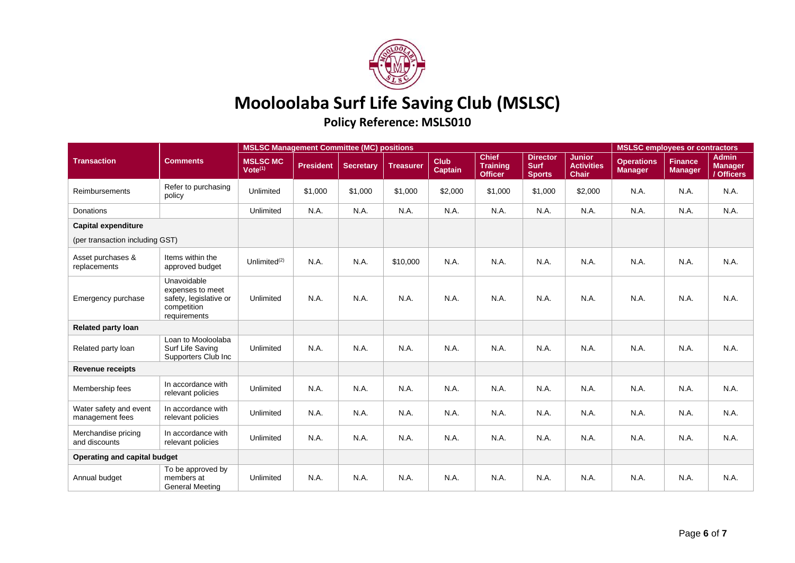

# **Mooloolaba Surf Life Saving Club (MSLSC)**

## **Policy Reference: MSLS010**

|                                           | <b>Comments</b>                                                                          | <b>MSLSC Management Committee (MC) positions</b> |                  |                  |                  |                               |                                                   |                                                 |                                                    |                                     | <b>MSLSC</b> employees or contractors |                                              |  |
|-------------------------------------------|------------------------------------------------------------------------------------------|--------------------------------------------------|------------------|------------------|------------------|-------------------------------|---------------------------------------------------|-------------------------------------------------|----------------------------------------------------|-------------------------------------|---------------------------------------|----------------------------------------------|--|
| <b>Transaction</b>                        |                                                                                          | <b>MSLSC MC</b><br>Vote <sup>(1)</sup>           | <b>President</b> | <b>Secretary</b> | <b>Treasurer</b> | <b>Club</b><br><b>Captain</b> | <b>Chief</b><br><b>Training</b><br><b>Officer</b> | <b>Director</b><br><b>Surf</b><br><b>Sports</b> | <b>Junior</b><br><b>Activities</b><br><b>Chair</b> | <b>Operations</b><br><b>Manager</b> | <b>Finance</b><br><b>Manager</b>      | <b>Admin</b><br><b>Manager</b><br>/ Officers |  |
| <b>Reimbursements</b>                     | Refer to purchasing<br>policy                                                            | Unlimited                                        | \$1,000          | \$1,000          | \$1,000          | \$2,000                       | \$1,000                                           | \$1,000                                         | \$2,000                                            | N.A.                                | N.A.                                  | N.A.                                         |  |
| Donations                                 |                                                                                          | Unlimited                                        | N.A.             | N.A.             | N.A.             | N.A.                          | N.A.                                              | N.A.                                            | N.A.                                               | N.A.                                | N.A.                                  | N.A.                                         |  |
| <b>Capital expenditure</b>                |                                                                                          |                                                  |                  |                  |                  |                               |                                                   |                                                 |                                                    |                                     |                                       |                                              |  |
| (per transaction including GST)           |                                                                                          |                                                  |                  |                  |                  |                               |                                                   |                                                 |                                                    |                                     |                                       |                                              |  |
| Asset purchases &<br>replacements         | Items within the<br>approved budget                                                      | Unlimited $(2)$                                  | N.A.             | N.A.             | \$10,000         | N.A.                          | N.A.                                              | N.A.                                            | N.A.                                               | N.A.                                | N.A.                                  | N.A.                                         |  |
| Emergency purchase                        | Unavoidable<br>expenses to meet<br>safety, legislative or<br>competition<br>requirements | Unlimited                                        | N.A.             | N.A.             | N.A.             | N.A.                          | N.A.                                              | N.A.                                            | N.A.                                               | N.A.                                | N.A.                                  | N.A.                                         |  |
| <b>Related party loan</b>                 |                                                                                          |                                                  |                  |                  |                  |                               |                                                   |                                                 |                                                    |                                     |                                       |                                              |  |
| Related party loan                        | Loan to Mooloolaba<br>Surf Life Saving<br>Supporters Club Inc                            | Unlimited                                        | N.A.             | N.A.             | N.A.             | N.A.                          | N.A.                                              | N.A.                                            | N.A.                                               | N.A.                                | N.A.                                  | N.A.                                         |  |
| <b>Revenue receipts</b>                   |                                                                                          |                                                  |                  |                  |                  |                               |                                                   |                                                 |                                                    |                                     |                                       |                                              |  |
| Membership fees                           | In accordance with<br>relevant policies                                                  | Unlimited                                        | N.A.             | N.A.             | N.A.             | N.A.                          | N.A.                                              | N.A.                                            | N.A.                                               | N.A.                                | N.A.                                  | N.A.                                         |  |
| Water safety and event<br>management fees | In accordance with<br>relevant policies                                                  | Unlimited                                        | N.A.             | N.A.             | N.A.             | N.A.                          | N.A.                                              | N.A.                                            | N.A.                                               | N.A.                                | N.A.                                  | N.A.                                         |  |
| Merchandise pricing<br>and discounts      | In accordance with<br>relevant policies                                                  | Unlimited                                        | N.A.             | N.A.             | N.A.             | N.A.                          | N.A.                                              | N.A.                                            | N.A.                                               | N.A.                                | N.A.                                  | N.A.                                         |  |
| Operating and capital budget              |                                                                                          |                                                  |                  |                  |                  |                               |                                                   |                                                 |                                                    |                                     |                                       |                                              |  |
| Annual budget                             | To be approved by<br>members at<br><b>General Meeting</b>                                | Unlimited                                        | N.A.             | N.A.             | N.A.             | N.A.                          | N.A.                                              | N.A.                                            | N.A.                                               | N.A.                                | N.A.                                  | N.A.                                         |  |